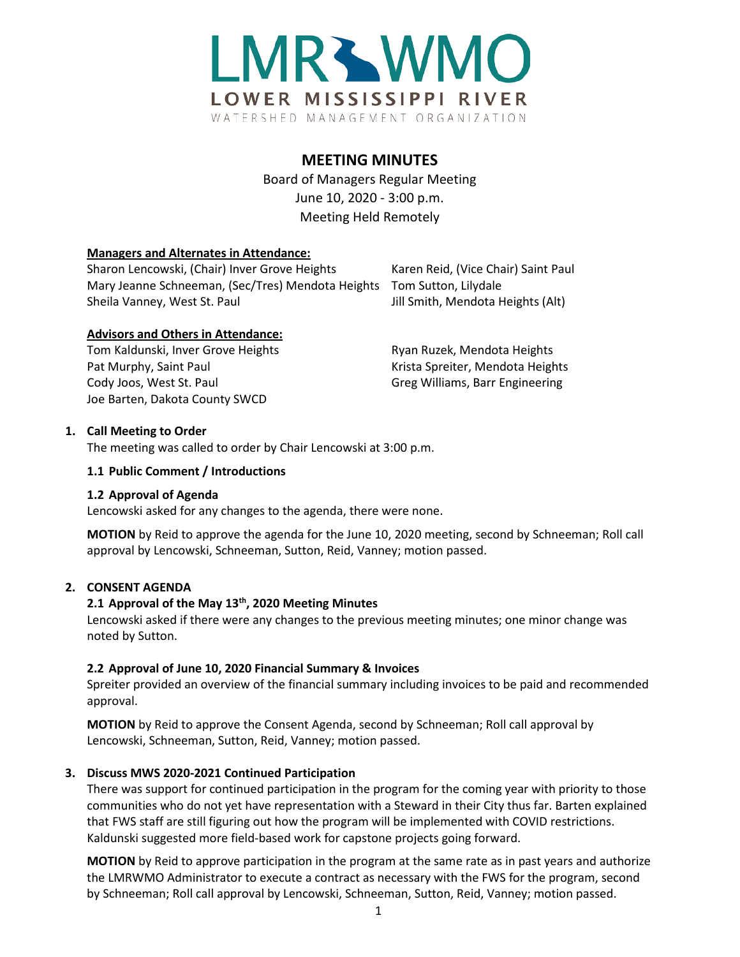

# **MEETING MINUTES**

Board of Managers Regular Meeting June 10, 2020 - 3:00 p.m. Meeting Held Remotely

## **Managers and Alternates in Attendance:**

Sharon Lencowski, (Chair) Inver Grove Heights Karen Reid, (Vice Chair) Saint Paul Mary Jeanne Schneeman, (Sec/Tres) Mendota Heights Tom Sutton, Lilydale Sheila Vanney, West St. Paul **Jill Smith, Mendota Heights (Alt)** 

## **Advisors and Others in Attendance:**

Tom Kaldunski, Inver Grove Heights **Ryan Ruzek, Mendota Heights** Ryan Ruzek, Mendota Heights Pat Murphy, Saint Paul New York Christia Spreiter, Mendota Heights Cody Joos, West St. Paul Greg Williams, Barr Engineering Joe Barten, Dakota County SWCD

# **1. Call Meeting to Order**

The meeting was called to order by Chair Lencowski at 3:00 p.m.

### **1.1 Public Comment / Introductions**

#### **1.2 Approval of Agenda**

Lencowski asked for any changes to the agenda, there were none.

**MOTION** by Reid to approve the agenda for the June 10, 2020 meeting, second by Schneeman; Roll call approval by Lencowski, Schneeman, Sutton, Reid, Vanney; motion passed.

# **2. CONSENT AGENDA**

# **2.1 Approval of the May 13th, 2020 Meeting Minutes**

Lencowski asked if there were any changes to the previous meeting minutes; one minor change was noted by Sutton.

# **2.2 Approval of June 10, 2020 Financial Summary & Invoices**

Spreiter provided an overview of the financial summary including invoices to be paid and recommended approval.

**MOTION** by Reid to approve the Consent Agenda, second by Schneeman; Roll call approval by Lencowski, Schneeman, Sutton, Reid, Vanney; motion passed.

# **3. Discuss MWS 2020-2021 Continued Participation**

There was support for continued participation in the program for the coming year with priority to those communities who do not yet have representation with a Steward in their City thus far. Barten explained that FWS staff are still figuring out how the program will be implemented with COVID restrictions. Kaldunski suggested more field-based work for capstone projects going forward.

**MOTION** by Reid to approve participation in the program at the same rate as in past years and authorize the LMRWMO Administrator to execute a contract as necessary with the FWS for the program, second by Schneeman; Roll call approval by Lencowski, Schneeman, Sutton, Reid, Vanney; motion passed.